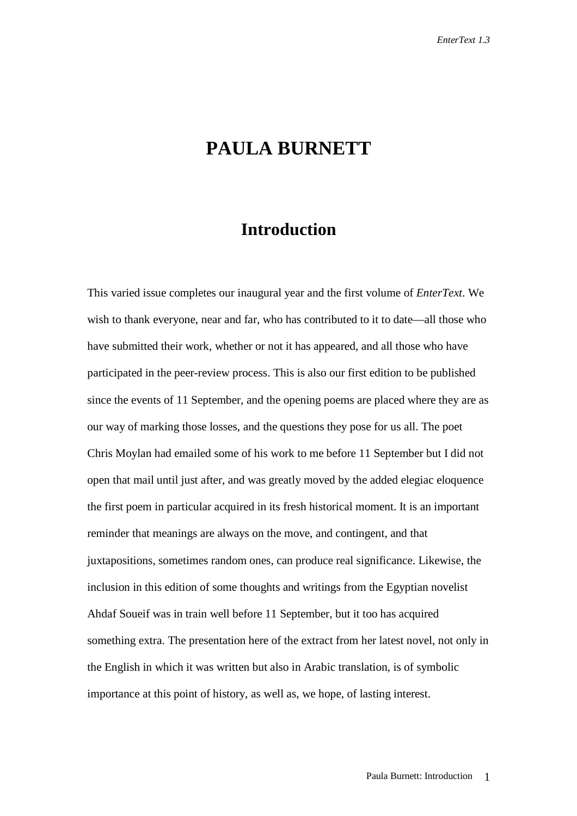## **PAULA BURNETT**

## **Introduction**

This varied issue completes our inaugural year and the first volume of *EnterText*. We wish to thank everyone, near and far, who has contributed to it to date—all those who have submitted their work, whether or not it has appeared, and all those who have participated in the peer-review process. This is also our first edition to be published since the events of 11 September, and the opening poems are placed where they are as our way of marking those losses, and the questions they pose for us all. The poet Chris Moylan had emailed some of his work to me before 11 September but I did not open that mail until just after, and was greatly moved by the added elegiac eloquence the first poem in particular acquired in its fresh historical moment. It is an important reminder that meanings are always on the move, and contingent, and that juxtapositions, sometimes random ones, can produce real significance. Likewise, the inclusion in this edition of some thoughts and writings from the Egyptian novelist Ahdaf Soueif was in train well before 11 September, but it too has acquired something extra. The presentation here of the extract from her latest novel, not only in the English in which it was written but also in Arabic translation, is of symbolic importance at this point of history, as well as, we hope, of lasting interest.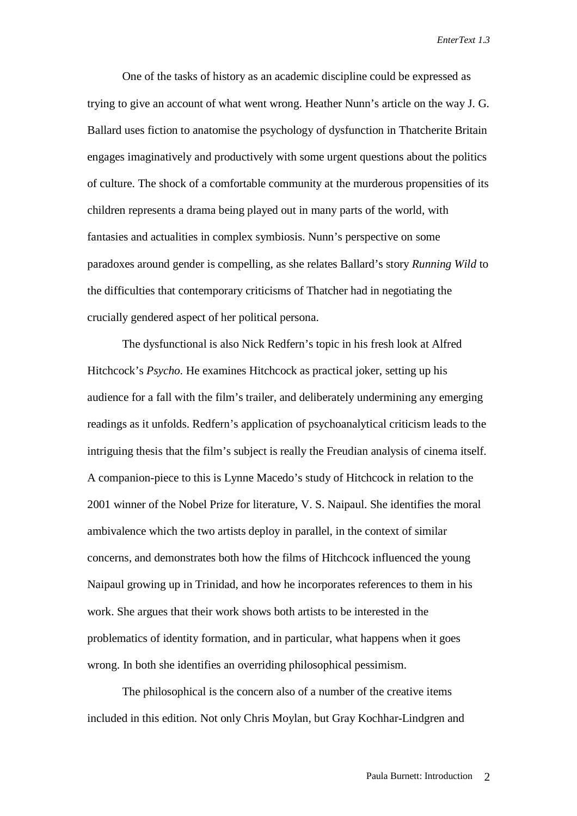One of the tasks of history as an academic discipline could be expressed as trying to give an account of what went wrong. Heather Nunn's article on the way J. G. Ballard uses fiction to anatomise the psychology of dysfunction in Thatcherite Britain engages imaginatively and productively with some urgent questions about the politics of culture. The shock of a comfortable community at the murderous propensities of its children represents a drama being played out in many parts of the world, with fantasies and actualities in complex symbiosis. Nunn's perspective on some paradoxes around gender is compelling, as she relates Ballard's story *Running Wild* to the difficulties that contemporary criticisms of Thatcher had in negotiating the crucially gendered aspect of her political persona.

The dysfunctional is also Nick Redfern's topic in his fresh look at Alfred Hitchcock's *Psycho*. He examines Hitchcock as practical joker, setting up his audience for a fall with the film's trailer, and deliberately undermining any emerging readings as it unfolds. Redfern's application of psychoanalytical criticism leads to the intriguing thesis that the film's subject is really the Freudian analysis of cinema itself. A companion-piece to this is Lynne Macedo's study of Hitchcock in relation to the 2001 winner of the Nobel Prize for literature, V. S. Naipaul. She identifies the moral ambivalence which the two artists deploy in parallel, in the context of similar concerns, and demonstrates both how the films of Hitchcock influenced the young Naipaul growing up in Trinidad, and how he incorporates references to them in his work. She argues that their work shows both artists to be interested in the problematics of identity formation, and in particular, what happens when it goes wrong. In both she identifies an overriding philosophical pessimism.

The philosophical is the concern also of a number of the creative items included in this edition. Not only Chris Moylan, but Gray Kochhar-Lindgren and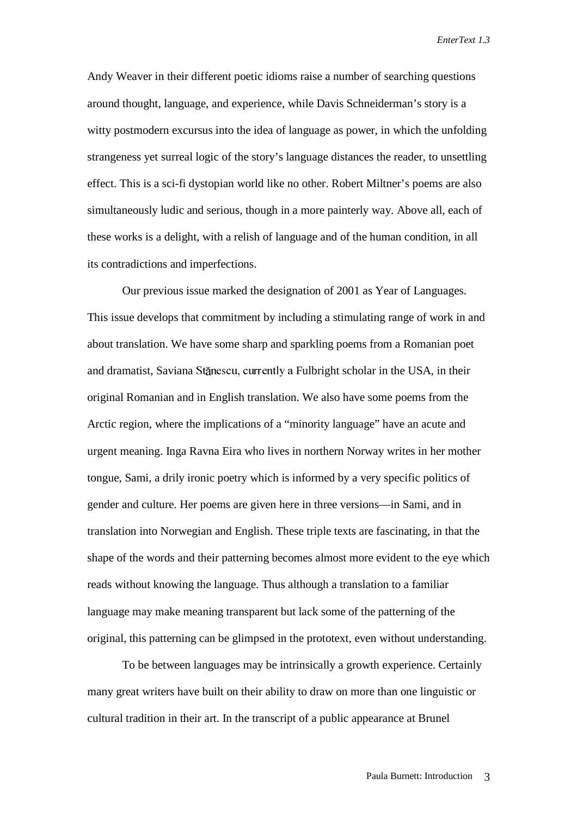Andy Weaver in their different poetic idioms raise a number of searching questions around thought, language, and experience, while Davis Schneiderman's story is a witty postmodern excursus into the idea of language as power, in which the unfolding strangeness yet surreal logic of the story's language distances the reader, to unsettling effect. This is a sci-fi dystopian world like no other. Robert Miltner's poems are also simultaneously ludic and serious, though in a more painterly way. Above all, each of these works is a delight, with a relish of language and of the human condition, in all its contradictions and imperfections.

Our previous issue marked the designation of 2001 as Year of Languages. This issue develops that commitment by including a stimulating range of work in and about translation. We have some sharp and sparkling poems from a Romanian poet and dramatist, Saviana Stănescu, currently a Fulbright scholar in the USA, in their original Romanian and in English translation. We also have some poems from the Arctic region, where the implications of a "minority language" have an acute and urgent meaning. Inga Ravna Eira who lives in northern Norway writes in her mother tongue, Sami, a drily ironic poetry which is informed by a very specific politics of gender and culture. Her poems are given here in three versions—in Sami, and in translation into Norwegian and English. These triple texts are fascinating, in that the shape of the words and their patterning becomes almost more evident to the eye which reads without knowing the language. Thus although a translation to a familiar language may make meaning transparent but lack some of the patterning of the original, this patterning can be glimpsed in the prototext, even without understanding.

To be between languages may be intrinsically a growth experience. Certainly many great writers have built on their ability to draw on more than one linguistic or cultural tradition in their art. In the transcript of a public appearance at Brunel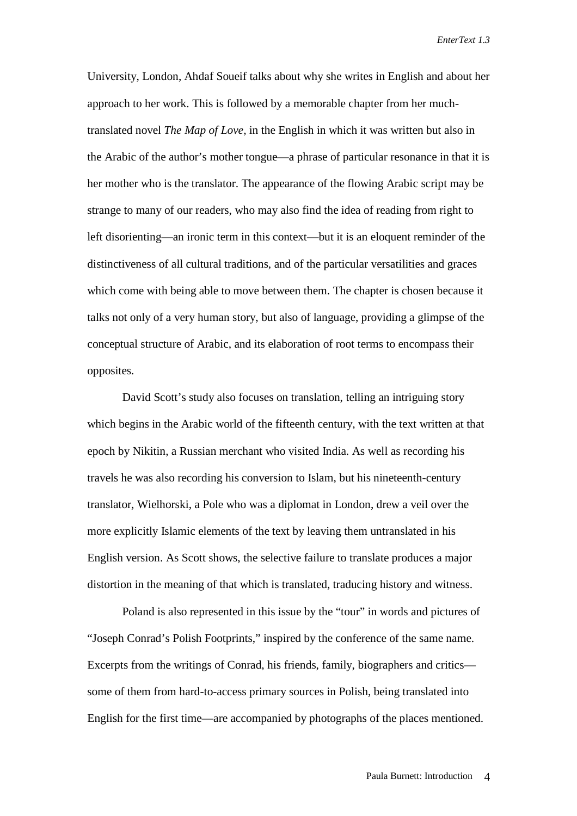University, London, Ahdaf Soueif talks about why she writes in English and about her approach to her work. This is followed by a memorable chapter from her muchtranslated novel *The Map of Love,* in the English in which it was written but also in the Arabic of the author's mother tongue—a phrase of particular resonance in that it is her mother who is the translator. The appearance of the flowing Arabic script may be strange to many of our readers, who may also find the idea of reading from right to left disorienting—an ironic term in this context—but it is an eloquent reminder of the distinctiveness of all cultural traditions, and of the particular versatilities and graces which come with being able to move between them. The chapter is chosen because it talks not only of a very human story, but also of language, providing a glimpse of the conceptual structure of Arabic, and its elaboration of root terms to encompass their opposites.

David Scott's study also focuses on translation, telling an intriguing story which begins in the Arabic world of the fifteenth century, with the text written at that epoch by Nikitin, a Russian merchant who visited India. As well as recording his travels he was also recording his conversion to Islam, but his nineteenth-century translator, Wielhorski, a Pole who was a diplomat in London, drew a veil over the more explicitly Islamic elements of the text by leaving them untranslated in his English version. As Scott shows, the selective failure to translate produces a major distortion in the meaning of that which is translated, traducing history and witness.

Poland is also represented in this issue by the "tour" in words and pictures of "Joseph Conrad's Polish Footprints," inspired by the conference of the same name. Excerpts from the writings of Conrad, his friends, family, biographers and critics some of them from hard-to-access primary sources in Polish, being translated into English for the first time—are accompanied by photographs of the places mentioned.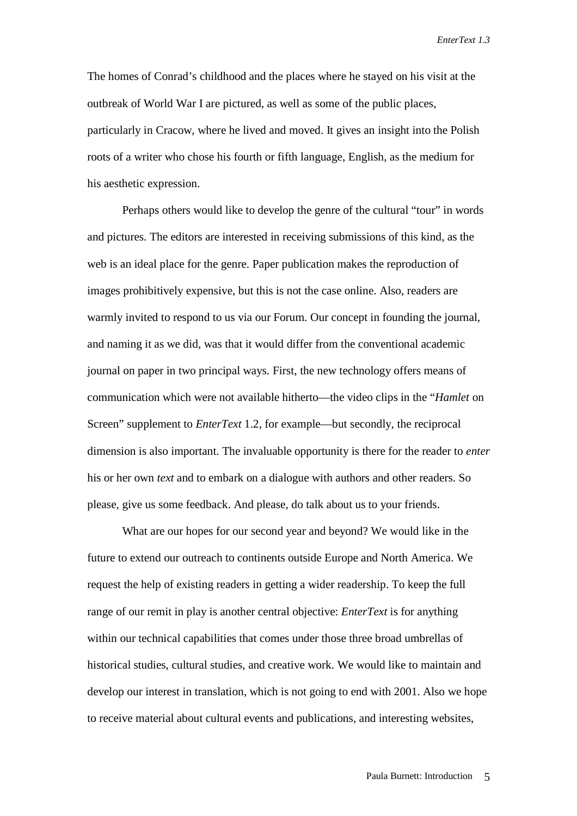The homes of Conrad's childhood and the places where he stayed on his visit at the outbreak of World War I are pictured, as well as some of the public places, particularly in Cracow, where he lived and moved. It gives an insight into the Polish roots of a writer who chose his fourth or fifth language, English, as the medium for his aesthetic expression.

Perhaps others would like to develop the genre of the cultural "tour" in words and pictures. The editors are interested in receiving submissions of this kind, as the web is an ideal place for the genre. Paper publication makes the reproduction of images prohibitively expensive, but this is not the case online. Also, readers are warmly invited to respond to us via our Forum. Our concept in founding the journal, and naming it as we did, was that it would differ from the conventional academic journal on paper in two principal ways. First, the new technology offers means of communication which were not available hitherto—the video clips in the "*Hamlet* on Screen" supplement to *EnterText* 1.2, for example—but secondly, the reciprocal dimension is also important. The invaluable opportunity is there for the reader to *enter* his or her own *text* and to embark on a dialogue with authors and other readers. So please, give us some feedback. And please, do talk about us to your friends.

What are our hopes for our second year and beyond? We would like in the future to extend our outreach to continents outside Europe and North America. We request the help of existing readers in getting a wider readership. To keep the full range of our remit in play is another central objective: *EnterText* is for anything within our technical capabilities that comes under those three broad umbrellas of historical studies, cultural studies, and creative work. We would like to maintain and develop our interest in translation, which is not going to end with 2001. Also we hope to receive material about cultural events and publications, and interesting websites,